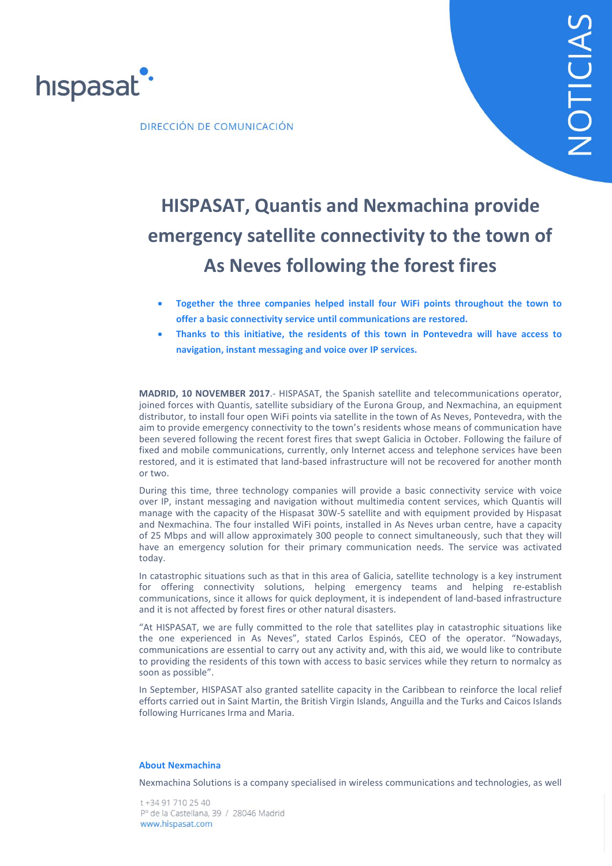

DIRECCIÓN DE COMUNICACIÓN

# **HISPASAT, Quantis and Nexmachina provide emergency satellite connectivity to the town of As Neves following the forest fires**

- **Together the three companies helped install four WiFi points throughout the town to offer a basic connectivity service until communications are restored.**
- **Thanks to this initiative, the residents of this town in Pontevedra will have access to navigation, instant messaging and voice over IP services.**

**MADRID, 10 NOVEMBER 2017**.- HISPASAT, the Spanish satellite and telecommunications operator, joined forces with Quantis, satellite subsidiary of the Eurona Group, and Nexmachina, an equipment distributor, to install four open WiFi points via satellite in the town of As Neves, Pontevedra, with the aim to provide emergency connectivity to the town's residents whose means of communication have been severed following the recent forest fires that swept Galicia in October. Following the failure of fixed and mobile communications, currently, only Internet access and telephone services have been restored, and it is estimated that land-based infrastructure will not be recovered for another month or two.

During this time, three technology companies will provide a basic connectivity service with voice over IP, instant messaging and navigation without multimedia content services, which Quantis will manage with the capacity of the Hispasat 30W-5 satellite and with equipment provided by Hispasat and Nexmachina. The four installed WiFi points, installed in As Neves urban centre, have a capacity of 25 Mbps and will allow approximately 300 people to connect simultaneously, such that they will have an emergency solution for their primary communication needs. The service was activated today.

In catastrophic situations such as that in this area of Galicia, satellite technology is a key instrument for offering connectivity solutions, helping emergency teams and helping re-establish communications, since it allows for quick deployment, it is independent of land-based infrastructure and it is not affected by forest fires or other natural disasters.

"At HISPASAT, we are fully committed to the role that satellites play in catastrophic situations like the one experienced in As Neves", stated Carlos Espinós, CEO of the operator. "Nowadays, communications are essential to carry out any activity and, with this aid, we would like to contribute to providing the residents of this town with access to basic services while they return to normalcy as soon as possible".

In September, HISPASAT also granted satellite capacity in the Caribbean to reinforce the local relief efforts carried out in Saint Martin, the British Virgin Islands, Anguilla and the Turks and Caicos Islands following Hurricanes Irma and Maria.

#### **About Nexmachina**

Nexmachina Solutions is a company specialised in wireless communications and technologies, as well

t +34 91 710 25 40 Pº de la Castellana, 39 / 28046 Madrid www.hispasat.com